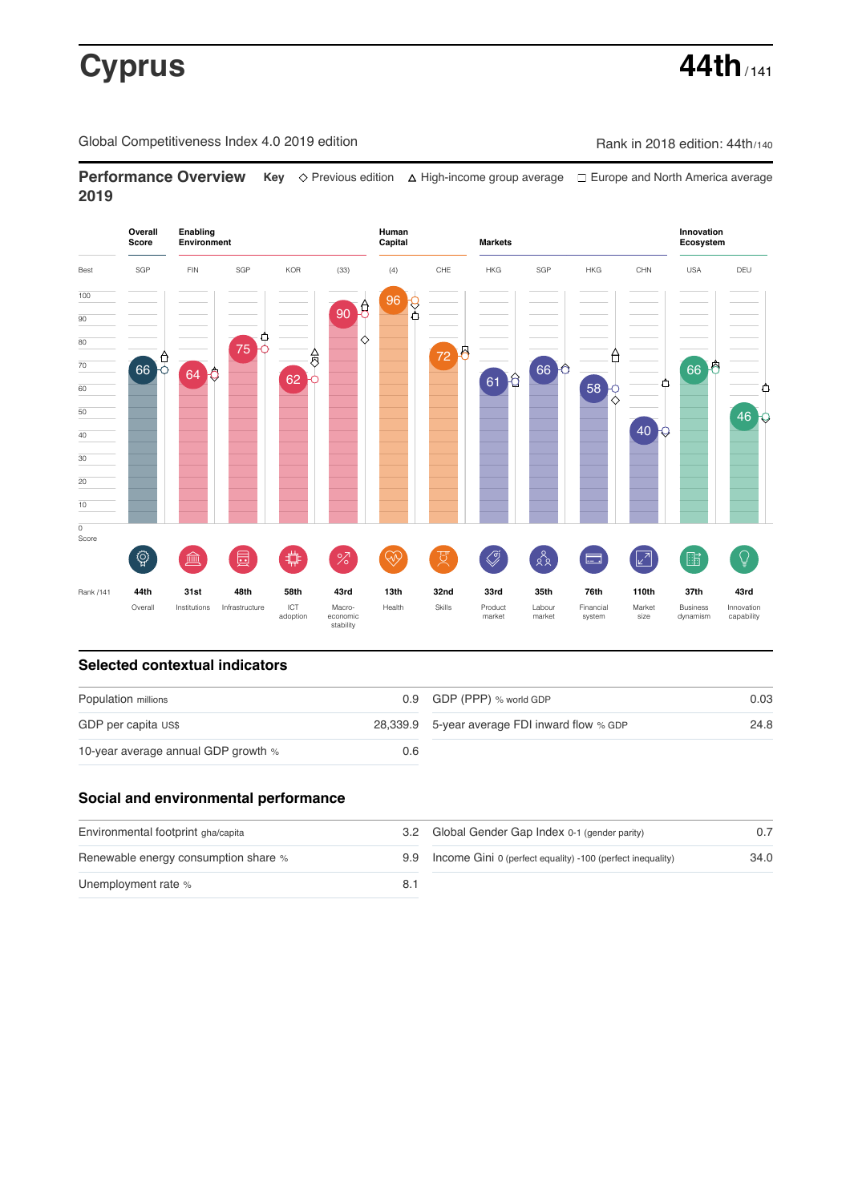# **Cyprus 44th**

Global Competitiveness Index 4.0 2019 edition Company Rank in 2018 edition: 44th/140

**Performance Overview** Key  $\Diamond$  Previous edition △ High-income group average □ Europe and North America average **2019**



# **Selected contextual indicators**

| Population millions                 |     | 0.9 GDP (PPP) % world GDP                     | 0.03 |  |
|-------------------------------------|-----|-----------------------------------------------|------|--|
| GDP per capita US\$                 |     | 28,339.9 5-year average FDI inward flow % GDP | 24.8 |  |
| 10-year average annual GDP growth % | 0.6 |                                               |      |  |

# **Social and environmental performance**

| Environmental footprint gha/capita   | 32 |
|--------------------------------------|----|
| Renewable energy consumption share % | 99 |
| Unemployment rate %                  | 81 |

| Global Gender Gap Index 0-1 (gender parity)                | 0.7  |
|------------------------------------------------------------|------|
| Income Gini 0 (perfect equality) -100 (perfect inequality) | 34 O |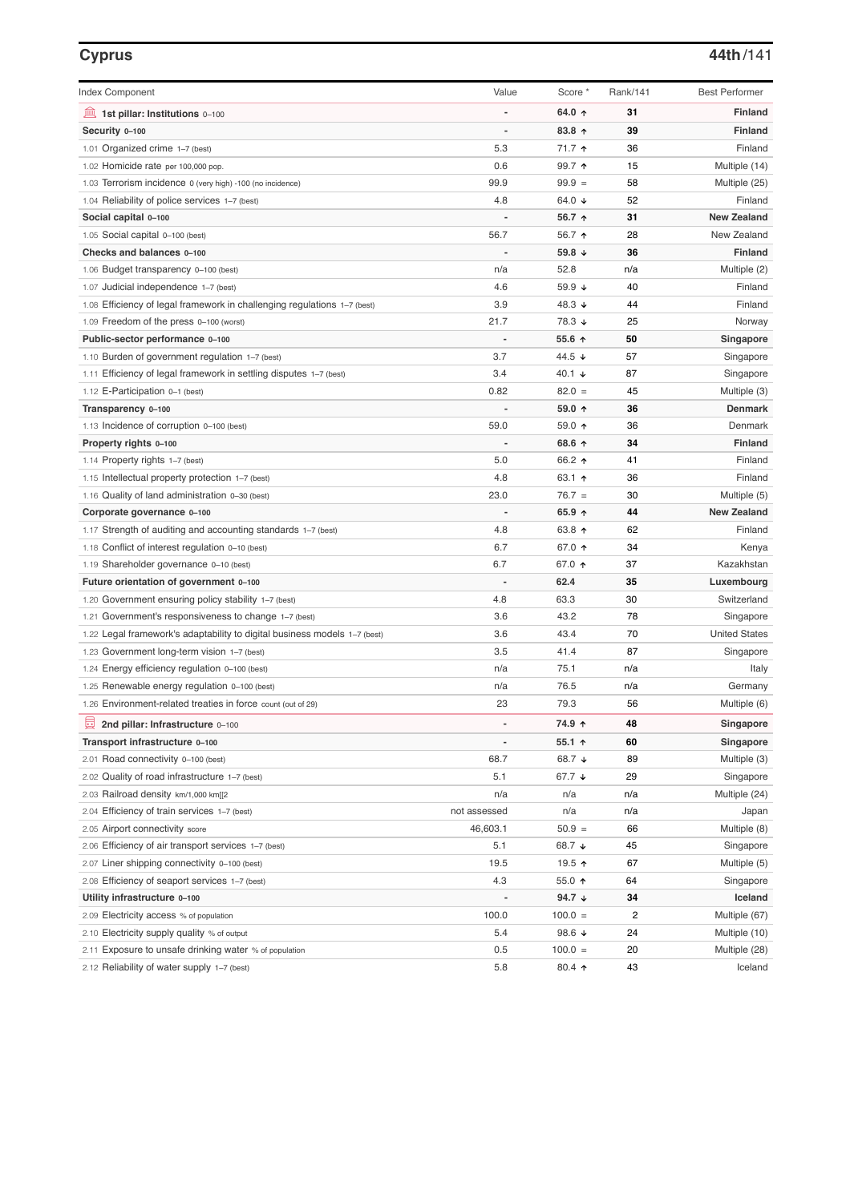| <b>Index Component</b>                                                    | Value                    | Score *         | Rank/141 | <b>Best Performer</b> |
|---------------------------------------------------------------------------|--------------------------|-----------------|----------|-----------------------|
| $\underline{m}$ 1st pillar: Institutions 0-100                            |                          | 64.0 ↑          | 31       | <b>Finland</b>        |
| Security 0-100                                                            | $\overline{a}$           | 83.8 ↑          | 39       | Finland               |
| 1.01 Organized crime 1-7 (best)                                           | 5.3                      | 71.7 1          | 36       | Finland               |
| 1.02 Homicide rate per 100,000 pop.                                       | 0.6                      | 99.7 ↑          | 15       | Multiple (14)         |
| 1.03 Terrorism incidence 0 (very high) -100 (no incidence)                | 99.9                     | $99.9 =$        | 58       | Multiple (25)         |
| 1.04 Reliability of police services 1–7 (best)                            | 4.8                      | 64.0 $\sqrt{ }$ | 52       | Finland               |
| Social capital 0-100                                                      |                          | 56.7 ↑          | 31       | <b>New Zealand</b>    |
| 1.05 Social capital 0-100 (best)                                          | 56.7                     | 56.7 ↑          | 28       | New Zealand           |
| Checks and balances 0-100                                                 |                          | 59.8 ↓          | 36       | <b>Finland</b>        |
| 1.06 Budget transparency 0-100 (best)                                     | n/a                      | 52.8            | n/a      | Multiple (2)          |
| 1.07 Judicial independence 1-7 (best)                                     | 4.6                      | 59.9 ↓          | 40       | Finland               |
| 1.08 Efficiency of legal framework in challenging regulations 1–7 (best)  | 3.9                      | 48.3 ↓          | 44       | Finland               |
| 1.09 Freedom of the press 0-100 (worst)                                   | 21.7                     | 78.3 ↓          | 25       | Norway                |
| Public-sector performance 0-100                                           |                          | 55.6 ↑          | 50       | Singapore             |
| 1.10 Burden of government regulation 1-7 (best)                           | 3.7                      | 44.5 ↓          | 57       | Singapore             |
| 1.11 Efficiency of legal framework in settling disputes 1-7 (best)        | 3.4                      | 40.1 $\sqrt{ }$ | 87       | Singapore             |
| 1.12 E-Participation 0-1 (best)                                           | 0.82                     | $82.0 =$        | 45       | Multiple (3)          |
| Transparency 0-100                                                        |                          | 59.0 ↑          | 36       | <b>Denmark</b>        |
| 1.13 Incidence of corruption 0-100 (best)                                 | 59.0                     | 59.0 ↑          | 36       | Denmark               |
| Property rights 0-100                                                     |                          | 68.6 ↑          | 34       | <b>Finland</b>        |
| 1.14 Property rights 1-7 (best)                                           | 5.0                      | 66.2 ↑          | 41       | Finland               |
| 1.15 Intellectual property protection 1-7 (best)                          | 4.8                      | 63.1 ↑          | 36       | Finland               |
| 1.16 Quality of land administration 0-30 (best)                           | 23.0                     | $76.7 =$        | 30       | Multiple (5)          |
| Corporate governance 0-100                                                |                          | 65.9 $\uparrow$ | 44       | <b>New Zealand</b>    |
| 1.17 Strength of auditing and accounting standards 1–7 (best)             | 4.8                      | 63.8 ↑          | 62       | Finland               |
| 1.18 Conflict of interest regulation 0-10 (best)                          | 6.7                      | 67.0 ↑          | 34       | Kenya                 |
| 1.19 Shareholder governance 0-10 (best)                                   | 6.7                      | 67.0 ↑          | 37       | Kazakhstan            |
| Future orientation of government 0-100                                    |                          | 62.4            | 35       | Luxembourg            |
| 1.20 Government ensuring policy stability 1–7 (best)                      | 4.8                      | 63.3            | 30       | Switzerland           |
| 1.21 Government's responsiveness to change 1–7 (best)                     | 3.6                      | 43.2            | 78       | Singapore             |
| 1.22 Legal framework's adaptability to digital business models 1-7 (best) | 3.6                      | 43.4            | 70       | <b>United States</b>  |
| 1.23 Government long-term vision 1-7 (best)                               | 3.5                      | 41.4            | 87       | Singapore             |
| 1.24 Energy efficiency regulation 0-100 (best)                            | n/a                      | 75.1            | n/a      | Italy                 |
| 1.25 Renewable energy regulation 0-100 (best)                             | n/a                      | 76.5            | n/a      | Germany               |
| 1.26 Environment-related treaties in force count (out of 29)              | 23                       | 79.3            | 56       | Multiple (6)          |
| 員<br>2nd pillar: Infrastructure 0-100                                     | $\overline{\phantom{m}}$ | 74.9 ↑          | 48       | Singapore             |
| Transport infrastructure 0-100                                            | $\overline{a}$           | $55.1$ 1        | 60       | Singapore             |
| 2.01 Road connectivity 0-100 (best)                                       | 68.7                     | 68.7 ↓          | 89       | Multiple (3)          |
| 2.02 Quality of road infrastructure 1–7 (best)                            | 5.1                      | 67.7 ↓          | 29       | Singapore             |
| 2.03 Railroad density km/1,000 km[[2]                                     | n/a                      | n/a             | n/a      | Multiple (24)         |
| 2.04 Efficiency of train services 1–7 (best)                              | not assessed             | n/a             | n/a      | Japan                 |
| 2.05 Airport connectivity score                                           | 46,603.1                 | $50.9 =$        | 66       | Multiple (8)          |
| 2.06 Efficiency of air transport services 1–7 (best)                      | 5.1                      | 68.7 ↓          | 45       | Singapore             |
| 2.07 Liner shipping connectivity 0-100 (best)                             | 19.5                     | 19.5 个          | 67       | Multiple (5)          |
| 2.08 Efficiency of seaport services 1-7 (best)                            | 4.3                      | 55.0 $\uparrow$ | 64       | Singapore             |
| Utility infrastructure 0-100                                              | $\overline{a}$           | 94.7 $\sqrt{ }$ | 34       | Iceland               |
| 2.09 Electricity access % of population                                   | 100.0                    | $100.0 =$       | 2        | Multiple (67)         |
| 2.10 Electricity supply quality % of output                               | 5.4                      | 98.6 $\sqrt{ }$ | 24       | Multiple (10)         |
| 2.11 Exposure to unsafe drinking water % of population                    | 0.5                      | $100.0 =$       | 20       | Multiple (28)         |
| 2.12 Reliability of water supply 1-7 (best)                               | 5.8                      | $80.4$ ↑        | 43       | Iceland               |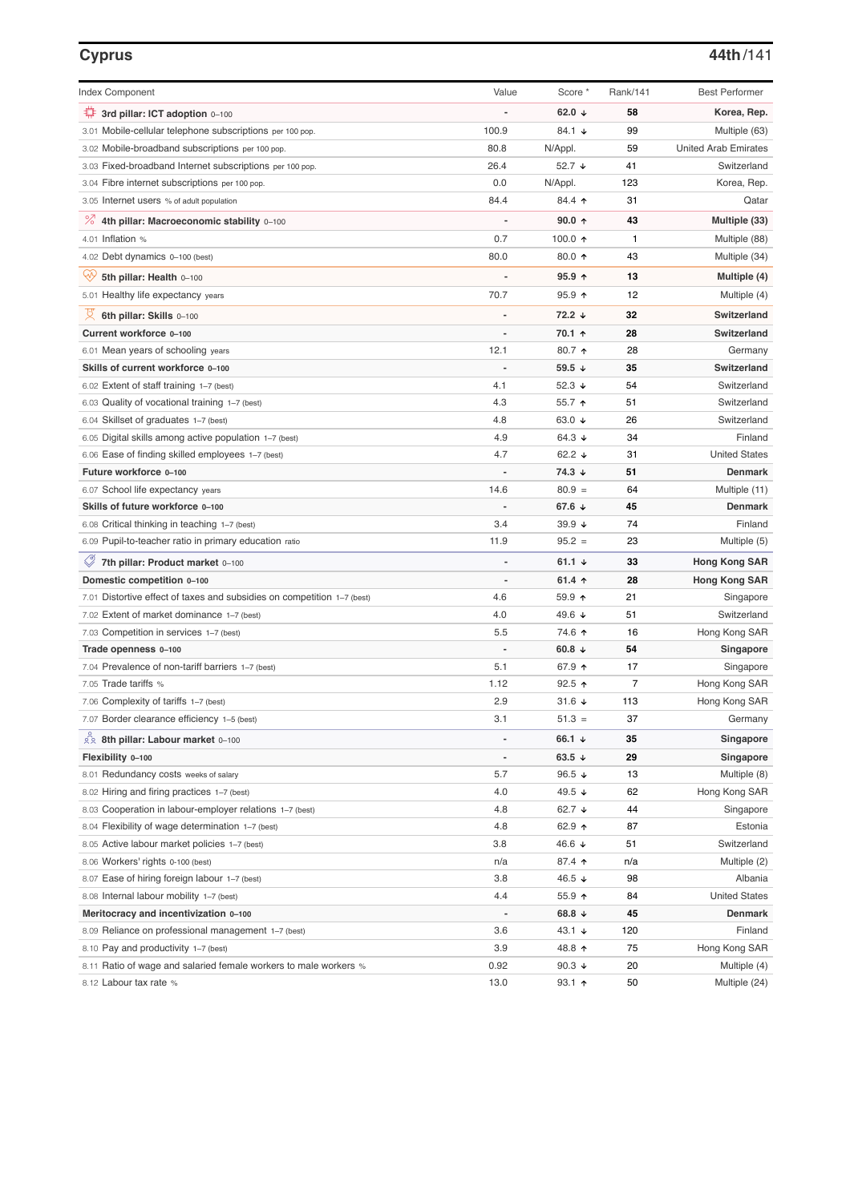### **Cyprus 44th**/141

| <b>Index Component</b>                                                  | Value                    | Score *           | Rank/141 | <b>Best Performer</b>       |
|-------------------------------------------------------------------------|--------------------------|-------------------|----------|-----------------------------|
| 3rd pillar: ICT adoption 0-100                                          |                          | 62.0 $\sqrt{ }$   | 58       | Korea, Rep.                 |
| 3.01 Mobile-cellular telephone subscriptions per 100 pop.               | 100.9                    | 84.1 ↓            | 99       | Multiple (63)               |
| 3.02 Mobile-broadband subscriptions per 100 pop.                        | 80.8                     | N/Appl.           | 59       | <b>United Arab Emirates</b> |
| 3.03 Fixed-broadband Internet subscriptions per 100 pop.                | 26.4                     | 52.7 ↓            | 41       | Switzerland                 |
| 3.04 Fibre internet subscriptions per 100 pop.                          | 0.0                      | N/Appl.           | 123      | Korea, Rep.                 |
| 3.05 Internet users % of adult population                               | 84.4                     | 84.4 1            | 31       | Qatar                       |
| % 4th pillar: Macroeconomic stability 0-100                             |                          | $90.0 \text{ A}$  | 43       | Multiple (33)               |
| 4.01 Inflation $%$                                                      | 0.7                      | 100.0 $\uparrow$  | 1        | Multiple (88)               |
| 4.02 Debt dynamics 0-100 (best)                                         | 80.0                     | 80.0 个            | 43       | Multiple (34)               |
| Qiy<br>5th pillar: Health 0-100                                         |                          | $95.9$ 1          | 13       | Multiple (4)                |
| 5.01 Healthy life expectancy years                                      | 70.7                     | $95.9$ 1          | 12       | Multiple (4)                |
| 섯<br>6th pillar: Skills 0-100                                           |                          | 72.2 ↓            | 32       | Switzerland                 |
| Current workforce 0-100                                                 |                          | 70.1 ↑            | 28       | Switzerland                 |
| 6.01 Mean years of schooling years                                      | 12.1                     | 80.7 ↑            | 28       | Germany                     |
| Skills of current workforce 0-100                                       |                          | 59.5 ↓            | 35       | Switzerland                 |
| 6.02 Extent of staff training 1-7 (best)                                | 4.1                      | 52.3 $\sqrt{ }$   | 54       | Switzerland                 |
| 6.03 Quality of vocational training 1-7 (best)                          | 4.3                      | 55.7 ↑            | 51       | Switzerland                 |
| 6.04 Skillset of graduates 1-7 (best)                                   | 4.8                      | 63.0 ↓            | 26       | Switzerland                 |
| 6.05 Digital skills among active population 1-7 (best)                  | 4.9                      | 64.3 $\sqrt{ }$   | 34       | Finland                     |
| 6.06 Ease of finding skilled employees 1-7 (best)                       | 4.7                      | 62.2 $\sqrt{ }$   | 31       | <b>United States</b>        |
| Future workforce 0-100                                                  |                          | 74.3 ↓            | 51       | <b>Denmark</b>              |
| 6.07 School life expectancy years                                       | 14.6                     | $80.9 =$          | 64       | Multiple (11)               |
| Skills of future workforce 0-100                                        |                          | 67.6 ↓            | 45       | <b>Denmark</b>              |
| 6.08 Critical thinking in teaching 1-7 (best)                           | 3.4                      | $39.9 +$          | 74       | Finland                     |
| 6.09 Pupil-to-teacher ratio in primary education ratio                  | 11.9                     | $95.2 =$          | 23       | Multiple (5)                |
| 7th pillar: Product market 0-100                                        |                          | 61.1 $\sqrt{ }$   | 33       | <b>Hong Kong SAR</b>        |
| Domestic competition 0-100                                              | $\overline{\phantom{a}}$ | 61.4 $\uparrow$   | 28       | <b>Hong Kong SAR</b>        |
| 7.01 Distortive effect of taxes and subsidies on competition 1–7 (best) | 4.6                      | 59.9 ↑            | 21       | Singapore                   |
| 7.02 Extent of market dominance 1–7 (best)                              | 4.0                      | 49.6 ↓            | 51       | Switzerland                 |
| 7.03 Competition in services 1-7 (best)                                 | 5.5                      | 74.6 ↑            | 16       | Hong Kong SAR               |
| Trade openness 0-100                                                    |                          | 60.8 $\sqrt{ }$   | 54       | <b>Singapore</b>            |
| 7.04 Prevalence of non-tariff barriers 1–7 (best)                       | 5.1                      | 67.9 ↑            | 17       | Singapore                   |
| 7.05 Trade tariffs %                                                    | 1.12                     | $92.5$ 1          | 7        | Hong Kong SAR               |
| 7.06 Complexity of tariffs 1–7 (best)                                   | 2.9                      | 31.6 $\sqrt{ }$   | 113      | Hong Kong SAR               |
| 7.07 Border clearance efficiency 1-5 (best)                             | 3.1                      | $51.3 =$          | 37       | Germany                     |
| 22 8th pillar: Labour market 0-100                                      |                          | 66.1 ↓            | 35       | Singapore                   |
| Flexibility 0-100                                                       | $\overline{a}$           | 63.5 $\sqrt{ }$   | 29       | Singapore                   |
| 8.01 Redundancy costs weeks of salary                                   | 5.7                      | 96.5 $\sqrt{ }$   | 13       | Multiple (8)                |
| 8.02 Hiring and firing practices 1-7 (best)                             | 4.0                      | 49.5 $\sqrt{ }$   | 62       | Hong Kong SAR               |
| 8.03 Cooperation in labour-employer relations 1-7 (best)                | 4.8                      | 62.7 $\sqrt{ }$   | 44       | Singapore                   |
| 8.04 Flexibility of wage determination 1-7 (best)                       | 4.8                      | 62.9 $\uparrow$   | 87       | Estonia                     |
| 8.05 Active labour market policies 1-7 (best)                           | 3.8                      | 46.6 ↓            | 51       | Switzerland                 |
| 8.06 Workers' rights 0-100 (best)                                       | n/a                      | 87.4 ↑            | n/a      | Multiple (2)                |
| 8.07 Ease of hiring foreign labour 1-7 (best)                           | 3.8                      | 46.5 ↓            | 98       | Albania                     |
| 8.08 Internal labour mobility 1-7 (best)                                | 4.4                      | $55.9$ 1          | 84       | <b>United States</b>        |
| Meritocracy and incentivization 0-100                                   |                          | 68.8 $\downarrow$ | 45       | <b>Denmark</b>              |
| 8.09 Reliance on professional management 1-7 (best)                     | 3.6                      | 43.1 $\sqrt{ }$   | 120      | Finland                     |
| 8.10 Pay and productivity 1-7 (best)                                    | 3.9                      | 48.8 ↑            | 75       | Hong Kong SAR               |
| 8.11 Ratio of wage and salaried female workers to male workers %        | 0.92                     | 90.3 $\downarrow$ | 20       | Multiple (4)                |
| 8.12 Labour tax rate %                                                  | 13.0                     | $93.1$ 1          | 50       | Multiple (24)               |